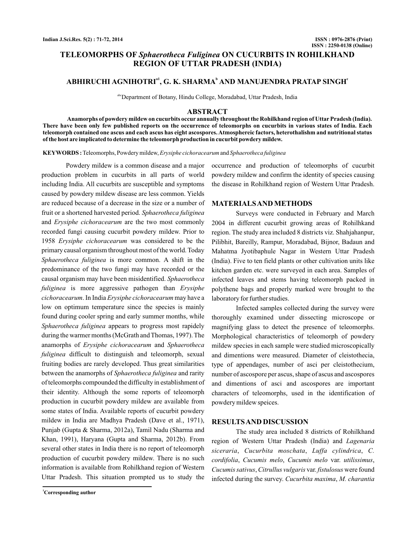# **TELEOMORPHS OF Sphaerotheca Fuliginea ON CUCURBITS IN ROHILKHAND REGION OF UTTAR PRADESH (INDIA)**

# ABHIRUCHI AGNIHOTRI<sup>a1</sup>, G. K. SHARMA<sup>b</sup> AND MANUJENDRA PRATAP SINGH<sup>e</sup>

abcDepartment of Botany, Hindu College, Moradabad, Uttar Pradesh, India

### **ABSTRACT**

**Anamorphs of powdery mildew on cucurbits occur annually throughout the Rohilkhand region of Uttar Pradesh (India). There have been only few published reports on the occurrence of teleomorphs on cucurbits in various states of India. Each teleomorph contained one ascus and each ascus has eight ascospores. Atmosphereic factors, heterothalishm and nutritional status of the host are implicated to determine the teleomorph production in cucurbit powdery mildew.**

KEYWORDS : Teleomorphs, Powdery mildew, *Erysiphe cichoracearum* and *Sphaerotheca fuliginea* 

Powdery mildew is a common disease and a major production problem in cucurbits in all parts of world including India. All cucurbits are susceptible and symptoms caused by powdery mildew disease are less common. Yields are reduced because of a decrease in the size or a number of fruit or a shortened harvested period. *Sphaerotheca fuliginea* and Erysiphe cichoracearum are the two most commonly recorded fungi causing cucurbit powdery mildew. Prior to 1958 Erysiphe cichoracearum was considered to be the primary causal organism throughout most of the world. Today Sphaerotheca fuliginea is more common. A shift in the predominance of the two fungi may have recorded or the causal organism may have been misidentified. *Sphaerotheca* fuliginea is more aggressive pathogen than Erysiphe *cichoracearum.* In India *Erysiphe cichoracearum* may have a low on optimum temperature since the species is mainly found during cooler spring and early summer months, while Sphaerotheca fuliginea appears to progress most rapidely during the warmer months (McGrath and Thomas, 1997). The anamorphs of Erysiphe cichoracearum and Sphaerotheca fuliginea difficult to distinguish and teleomorph, sexual fruiting bodies are rarely developed. Thus great similarities between the anamorphs of Sphaerotheca fuliginea and rarity of teleomorphs compounded the difficulty in establishment of their identity. Although the some reports of teleomorph production in cucurbit powdery mildew are available from some states of India. Available reports of cucurbit powdery mildew in India are Madhya Pradesh (Dave et al., 1971), Punjab (Gupta & Sharma, 2012a), Tamil Nadu (Sharma and Khan, 1991), Haryana (Gupta and Sharma, 2012b). From several other states in India there is no report of teleomorph production of cucurbit powdery mildew. There is no such information is available from Rohilkhand region of Western Uttar Pradesh. This situation prompted us to study the

**<sup>1</sup>Corresponding author**

occurrence and production of teleomorphs of cucurbit powdery mildew and confirm the identity of species causing the disease in Rohilkhand region of Western Uttar Pradesh.

#### **MATERIALSAND METHODS**

Surveys were conducted in February and March 2004 in different cucurbit growing areas of Rohilhkand region. The study area included 8 districts viz. Shahjahanpur, Pilibhit, Bareilly, Rampur, Moradabad, Bijnor, Badaun and Mahatma Jyotibaphule Nagar in Western Uttar Pradesh (India). Five to ten field plants or other cultivation units like kitchen garden etc. were surveyed in each area. Samples of infected leaves and stems having teleomorph packed in polythene bags and properly marked were brought to the laboratory for further studies.

Infected samples collected during the survey were thoroughly examined under dissecting microscope or magnifying glass to detect the presence of teleomorphs. Morphological characteristics of teleomorph of powdery mildew species in each sample were studied microscopically and dimentions were measured. Diameter of cleistothecia, type of appendages, number of asci per cleistothecium, number of ascospore per ascus, shape of ascus and ascospores and dimentions of asci and ascospores are important characters of teleomorphs, used in the identification of powdery mildew speices.

### **RESULTSAND DISCUSSION**

The study area included 8 districts of Rohilkhand region of Western Uttar Pradesh (India) and *Lagenaria* siceraria, Cucurbita moschata, Luffa cylindrica, C. cordifolia, Cucumis melo, Cucumis melo var. utilissimus, Cucumis sativus, Citrullus vulgaris var. fistulosus were found infected during the survey. Cucurbita maxima, M. charantia